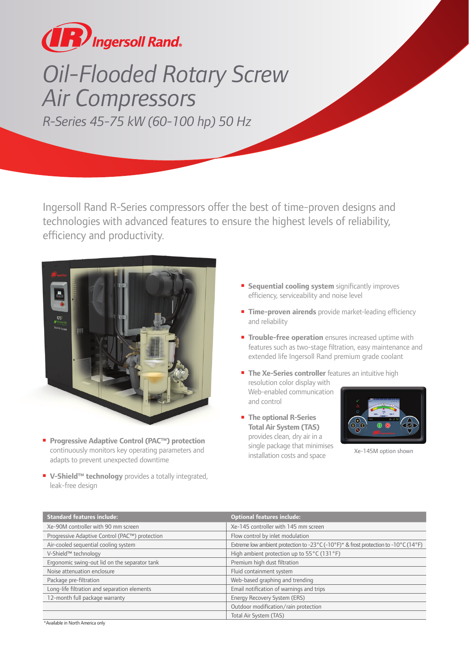

## *Oil-Flooded Rotary Screw Air Compressors R-Series 45-75 kW (60-100 hp) 50 Hz*

Ingersoll Rand R-Series compressors offer the best of time-proven designs and technologies with advanced features to ensure the highest levels of reliability, efficiency and productivity.



- **Progressive Adaptive Control (PAC™) protection**  continuously monitors key operating parameters and adapts to prevent unexpected downtime
- **V-Shield™ technology** provides a totally integrated, leak-free design
- **Sequential cooling system** significantly improves efficiency, serviceability and noise level
- **Time-proven airends** provide market-leading efficiency and reliability
- **Trouble-free operation** ensures increased uptime with features such as two-stage filtration, easy maintenance and extended life Ingersoll Rand premium grade coolant
- **The Xe-Series controller** features an intuitive high resolution color display with Web-enabled communication and control
- **The optional R-Series Total Air System (TAS)** provides clean, dry air in a single package that minimises installation costs and space



Xe-145M option shown

| <b>Standard features include:</b>              | <b>Optional features include:</b>                                                          |
|------------------------------------------------|--------------------------------------------------------------------------------------------|
| Xe-90M controller with 90 mm screen            | Xe-145 controller with 145 mm screen                                                       |
| Progressive Adaptive Control (PAC™) protection | Flow control by inlet modulation                                                           |
| Air-cooled sequential cooling system           | Extreme low ambient protection to -23 °C (-10 °F) $*$ & frost protection to -10 °C (14 °F) |
| V-Shield™ technology                           | High ambient protection up to 55°C (131°F)                                                 |
| Ergonomic swing-out lid on the separator tank  | Premium high dust filtration                                                               |
| Noise attenuation enclosure                    | Fluid containment system                                                                   |
| Package pre-filtration                         | Web-based graphing and trending                                                            |
| Long-life filtration and separation elements   | Email notification of warnings and trips                                                   |
| 12-month full package warranty                 | Energy Recovery System (ERS)                                                               |
|                                                | Outdoor modification/rain protection                                                       |
|                                                | Total Air System (TAS)                                                                     |

\*Available in North America only